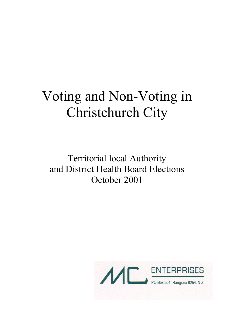# Voting and Non-Voting in Christchurch City

Territorial local Authority and District Health Board Elections October 2001

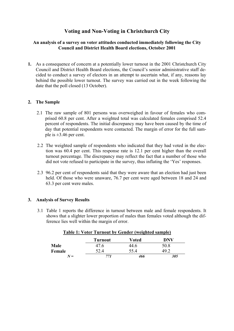# **Voting and Non-Voting in Christchurch City**

# **An analysis of a survey on voter attitudes conducted immediately following the City Council and District Health Board elections, October 2001**

**1.** As a consequence of concern at a potentially lower turnout in the 2001 Christchurch City Council and District Health Board elections, the Council's senior administrative staff decided to conduct a survey of electors in an attempt to ascertain what, if any, reasons lay behind the possible lower turnout. The survey was carried out in the week following the date that the poll closed (13 October).

# **2. The Sample**

- 2.1 The raw sample of 801 persons was overweighed in favour of females who comprised 60.8 per cent. After a weighted total was calculated females comprised 52.4 percent of respondents. The initial discrepancy may have been caused by the time of day that potential respondents were contacted. The margin of error for the full sample is  $\pm 3.46$  per cent.
- 2.2 The weighted sample of respondents who indicated that they had voted in the election was 60.4 per cent. This response rate is 12.1 per cent higher than the overall turnout percentage. The discrepancy may reflect the fact that a number of those who did not vote refused to participate in the survey, thus inflating the 'Yes' responses.
- 2.3 96.2 per cent of respondents said that they were aware that an election had just been held. Of those who were unaware, 76.7 per cent were aged between 18 and 24 and 63.3 per cent were males.

# **3. Analysis of Survey Results**

3.1 Table 1 reports the difference in turnout between male and female respondents. It shows that a slighter lower proportion of males than females voted although the difference lies well within the margin of error.

|             | <b>Turnout</b> | <b>Voted</b> | <b>DNV</b>      |
|-------------|----------------|--------------|-----------------|
| Male        | 47.6           | 44.6         | 50.8            |
| Female      | 52.4           | 55.4         | 49 <sup>o</sup> |
| ${\bf V} =$ | 771            | 466          | 305             |

## **Table 1: Voter Turnout by Gender (weighted sample)**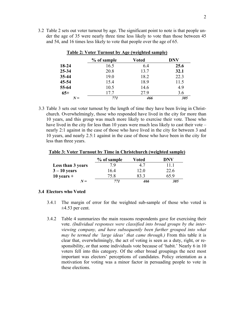3.2 Table 2 sets out voter turnout by age. The significant point to note is that people under the age of 35 were nearly three time less likely to vote than those between 45 and 54, and 16 times less likely to vote that people over the age of 65.

|           | % of sample | Voted | <b>DNV</b> |
|-----------|-------------|-------|------------|
| 18-24     | 16.5        | 6.4   | 25.6       |
| 25-34     | 20.8        | 13.7  | 32.1       |
| $35 - 44$ | 19.0        | 18.2  | 22.3       |
| 45-54     | 15.4        | 18.9  | 11.5       |
| 55-64     | 10.5        | 14.6  | 4.9        |
| $65+$     | 17.7        | 27.9  | 3.6        |
| $N =$     | 771         | 466   | 305        |

### **Table 2: Voter Turnout by Age (weighted sample)**

3.3 Table 3 sets out voter turnout by the length of time they have been living in Christchurch. Overwhelmingly, those who responded have lived in the city for more than 10 years, and this group was much more likely to exercise their vote. Those who have lived in the city for less than 10 years were much less likely to cast their vote – nearly 2:1 against in the case of those who have lived in the city for between 3 and 10 years, and nearly 2.5:1 against in the case of those who have been in the city for less than three years.

#### **Table 3: Voter Turnout by Time in Christchurch (weighted sample)**

|                   | % of sample | Voted             | DNV  |
|-------------------|-------------|-------------------|------|
| Less than 3 years | 79          | $4^{\frac{1}{2}}$ | 111  |
| $3 - 10$ years    | 164         | 12.0              | 22.6 |
| $10$ years +      | 75.8        | 83 3              | 65 9 |
| $N =$             | 771         | 466               | 305  |

## **3.4 Electors who Voted**

- 3.4.1 The margin of error for the weighted sub-sample of those who voted is  $\pm 4.53$  per cent.
- 3.4.2 Table 4 summarizes the main reasons respondents gave for exercising their vote. *(Individual responses were classified into broad groups by the interviewing company, and have subsequently been further grouped into what may be termed the 'large ideas' that came through.)* From this table it is clear that, overwhelmingly, the act of voting is seen as a duty, right, or responsibility, or that some individuals vote because of 'habit.' Nearly 6 in 10 voters fell into this category. Of the other broad groupings the next most important was electors' perceptions of candidates. Policy orientation as a motivation for voting was a minor factor in persuading people to vote in these elections.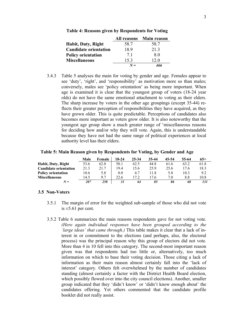|                              | <b>All reasons</b> | <b>Main reason</b> |
|------------------------------|--------------------|--------------------|
| <b>Habit, Duty, Right</b>    | 58.7               | 58.7               |
| <b>Candidate orientation</b> | 18.9               | 213                |
| <b>Policy orientation</b>    | 71                 | 80                 |
| <b>Miscellaneous</b>         | 153                | 12 0               |
|                              | $N =$              | 466                |

#### **Table 4: Reasons given by Respondents for Voting**

3.4.3 Table 5 analyses the main for voting by gender and age. Females appear to see 'duty', 'right', and 'responsibility' as motivation more so than males; conversely, males see 'policy orientation' as being more important. When age is examined it is clear that the youngest group of voters (18-24 year olds) do not have the same emotional attachment to voting as their elders. The sharp increase by voters in the other age groupings (except 35-44) reflects their greater perception of responsibilities they have acquired, as they have grown older. This is quite predictable. Perceptions of candidates also becomes more important as voters grow older. It is also noteworthy that the youngest age group show a much greater range of 'miscellaneous reasons for deciding how and/or why they will vote. Again, this is understandable because they have not had the same range of political experiences at local authority level has their elders.

|                              | Male | Female | 18-24 | 25-34 | 35-44 | 45-54 | 55-64 | $65+$ |
|------------------------------|------|--------|-------|-------|-------|-------|-------|-------|
| <b>Habit, Duty, Right</b>    | 53.6 | 62.8   | 58.1  | 62.5  | 44.8  | 61.6  | 63.2  | 61.8  |
| <b>Candidate orientation</b> | 21.3 | 21.7   | 19.4  | 15.6  | 25.9  | 25.6  | 17.6  | 18.3  |
| <b>Policy orientation</b>    | 10.6 | 5.8    | 0.0   | 4.7   | 11.8  | 5.8   | 10.3  | 9.2   |

**Miscellaneous** 14.5 9.7 22.6 17.2 17.6 7.0 8.8 10.8  *N = 207 258 31 64 85 86 68 131* 

**Table 5: Main Reason given by Respondents for Voting, by Gender and Age** 

#### **3.5 Non-Voters**

- 3.5.1 The margin of error for the weighted sub-sample of those who did not vote is  $\pm$ 5.61 per cent.
- 3.5.2 Table 6 summarizes the main reasons respondents gave for not voting vote. *(Here again individual responses have been grouped according to the 'large ideas' that came through.)* This table makes it clear that a lack of interest in or commitment to the elections (and perhaps, also, the electoral process) was the principal reason why this group of electors did not vote. More than 4 in 10 fell into this category. The second-most important reason given was that respondents had too little or, alternatively, too much information on which to base their voting decision. Those citing a lack of information as their main reason almost certainly fall into the 'lack of interest' category. Others felt overwhelmed by the number of candidates standing (almost certainly a factor with the District Health Board election, which possibly flowed over into the city council elections). Another, smaller group indicated that they 'didn't know' or 'didn't know enough about' the candidates offering. Yet others commented that the candidate profile booklet did not really assist.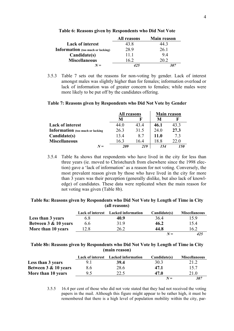|                                          | All reasons | <b>Main reason</b> |
|------------------------------------------|-------------|--------------------|
| <b>Lack of interest</b>                  | 43 8        | l4 3               |
| <b>Information</b> (too much or lacking) | 28.9        | 26.1               |
| Candidate(s)                             | 11 1        | 94                 |
| <b>Miscellaneous</b>                     | 16 2        | 20.2               |
| $N =$                                    | 425         |                    |

**Table 6: Reasons given by Respondents who Did Not Vote** 

3.5.3 Table 7 sets out the reasons for non-voting by gender. Lack of interest amongst males was slightly higher than for females; information overload or lack of information was of greater concern to females; while males were more likely to be put off by the candidates offering.

### **Table 7: Reasons given by Respondents who Did Not Vote by Gender**

|                                         | All reasons |      | <b>Main reason</b> |      |
|-----------------------------------------|-------------|------|--------------------|------|
|                                         | M           |      | M                  | F    |
| <b>Lack of interest</b>                 | 44.0        | 434  | 46.1               | 43.3 |
| <b>Information</b> (too much or lacking | 26.3        | 31.5 | 24.0               | 27.3 |
| Candidate(s)                            | 134         | 8.7  | <b>11.0</b>        | 73   |
| <b>Miscellaneous</b>                    | 163         | 164  | 18 8               | 22.0 |
| ${\bf V}$ $=$                           | 209         | 219  | 154                |      |

3.5.4 Table 8a shows that respondents who have lived in the city for less than three years (ie. moved to Christchurch from elsewhere since the 1998 election) gave a 'lack of information' as a reason for not voting. Conversely, the most prevalent reason given by those who have lived in the city for more than 3 years was their perception (generally dislike, but also lack of knowledge) of candidates. These data were replicated when the main reason for not voting was given (Table 8b).

## **Table 8a: Reasons given by Respondents who Did Not Vote by Length of Time in City (all reasons)**

|                      | <b>Lack of interest</b> | <b>Lacked information</b> | Candidate(s) | <b>Miscellaneous</b> |
|----------------------|-------------------------|---------------------------|--------------|----------------------|
| Less than 3 years    | 6.8                     | 40.9                      | 364          | 159                  |
| Between 3 & 10 years | 6.6                     | 319                       | 46.2         | 15.4                 |
| More than 10 years   | 12.8                    | 26.2                      | 44.8         | 16.2                 |
|                      |                         |                           | $N =$        | 425                  |

## **Table 8b: Reasons given by Respondents who Did Not Vote by Length of Time in City (main reason)**

|                      | <b>Lack of interest</b> | <b>Lacked information</b> | Candidate(s) | <b>Miscellaneous</b> |
|----------------------|-------------------------|---------------------------|--------------|----------------------|
| Less than 3 years    | 9.1                     | 39.4                      | 30.3         | 21.2                 |
| Between 3 & 10 years | 8.6                     | 28.6                      | 47.1         | 15.7                 |
| More than 10 years   | 9.5                     | 22.5                      | 47.0         | 21.0                 |
|                      |                         |                           | $N =$        | 307                  |

3.5.5 16.4 per cent of those who did not vote stated that they had not received the voting papers in the mail. Although this figure might appear to be rather high, it must be remembered that there is a high level of population mobility within the city, par